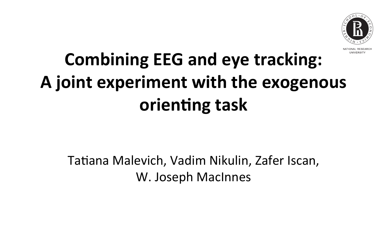# **Combining EEG and eye tracking:** A joint experiment with the exogenous **orienting task**

Tatiana Malevich, Vadim Nikulin, Zafer Iscan, W. Joseph MacInnes

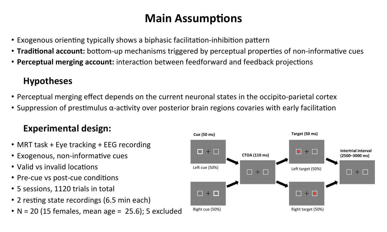# **Main Assumptions**

- Exogenous orienting typically shows a biphasic facilitation-inhibition pattern
- **Traditional account:** bottom-up mechanisms triggered by perceptual properties of non-informative cues
- Perceptual merging account: interaction between feedforward and feedback projections

# **Hypotheses**

- Perceptual merging effect depends on the current neuronal states in the occipito-parietal cortex
- Suppression of prestimulus  $\alpha$ -activity over posterior brain regions covaries with early facilitation

## **Experimental design:**

- MRT task + Eye tracking + EEG recording
- Exogenous, non-informative cues
- Valid vs invalid locations
- Pre-cue vs post-cue conditions
- 5 sessions, 1120 trials in total
- 2 resting state recordings (6.5 min each)
- $N = 20$  (15 females, mean age = 25.6); 5 excluded